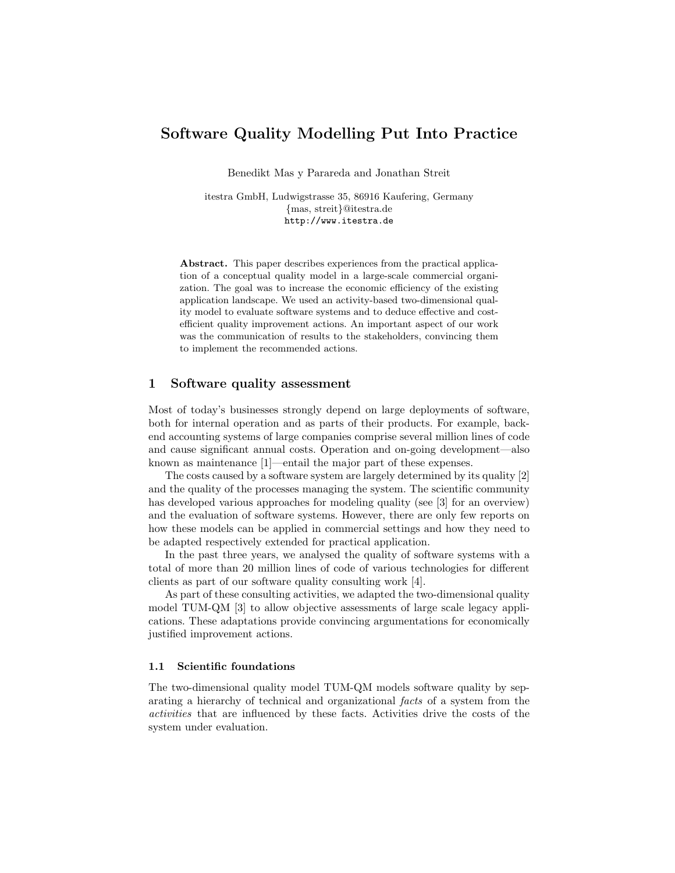# Software Quality Modelling Put Into Practice

Benedikt Mas y Parareda and Jonathan Streit

itestra GmbH, Ludwigstrasse 35, 86916 Kaufering, Germany {mas, streit}@itestra.de http://www.itestra.de

Abstract. This paper describes experiences from the practical application of a conceptual quality model in a large-scale commercial organization. The goal was to increase the economic efficiency of the existing application landscape. We used an activity-based two-dimensional quality model to evaluate software systems and to deduce effective and costefficient quality improvement actions. An important aspect of our work was the communication of results to the stakeholders, convincing them to implement the recommended actions.

#### 1 Software quality assessment

Most of today's businesses strongly depend on large deployments of software, both for internal operation and as parts of their products. For example, backend accounting systems of large companies comprise several million lines of code and cause significant annual costs. Operation and on-going development—also known as maintenance [1]—entail the major part of these expenses.

The costs caused by a software system are largely determined by its quality [2] and the quality of the processes managing the system. The scientific community has developed various approaches for modeling quality (see [3] for an overview) and the evaluation of software systems. However, there are only few reports on how these models can be applied in commercial settings and how they need to be adapted respectively extended for practical application.

In the past three years, we analysed the quality of software systems with a total of more than 20 million lines of code of various technologies for different clients as part of our software quality consulting work [4].

As part of these consulting activities, we adapted the two-dimensional quality model TUM-QM [3] to allow objective assessments of large scale legacy applications. These adaptations provide convincing argumentations for economically justified improvement actions.

#### 1.1 Scientific foundations

The two-dimensional quality model TUM-QM models software quality by separating a hierarchy of technical and organizational facts of a system from the activities that are influenced by these facts. Activities drive the costs of the system under evaluation.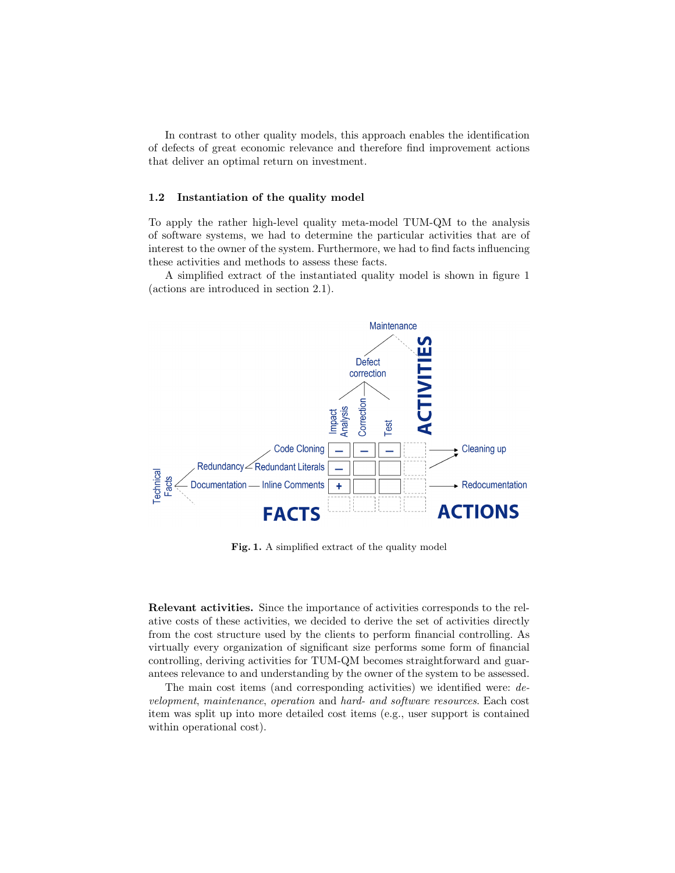In contrast to other quality models, this approach enables the identification of defects of great economic relevance and therefore find improvement actions that deliver an optimal return on investment.

#### 1.2 Instantiation of the quality model

To apply the rather high-level quality meta-model TUM-QM to the analysis of software systems, we had to determine the particular activities that are of interest to the owner of the system. Furthermore, we had to find facts influencing these activities and methods to assess these facts.

A simplified extract of the instantiated quality model is shown in figure 1 (actions are introduced in section 2.1).



Fig. 1. A simplified extract of the quality model

Relevant activities. Since the importance of activities corresponds to the relative costs of these activities, we decided to derive the set of activities directly from the cost structure used by the clients to perform financial controlling. As virtually every organization of significant size performs some form of financial controlling, deriving activities for TUM-QM becomes straightforward and guarantees relevance to and understanding by the owner of the system to be assessed.

The main cost items (and corresponding activities) we identified were: development, maintenance, operation and hard- and software resources. Each cost item was split up into more detailed cost items (e.g., user support is contained within operational cost).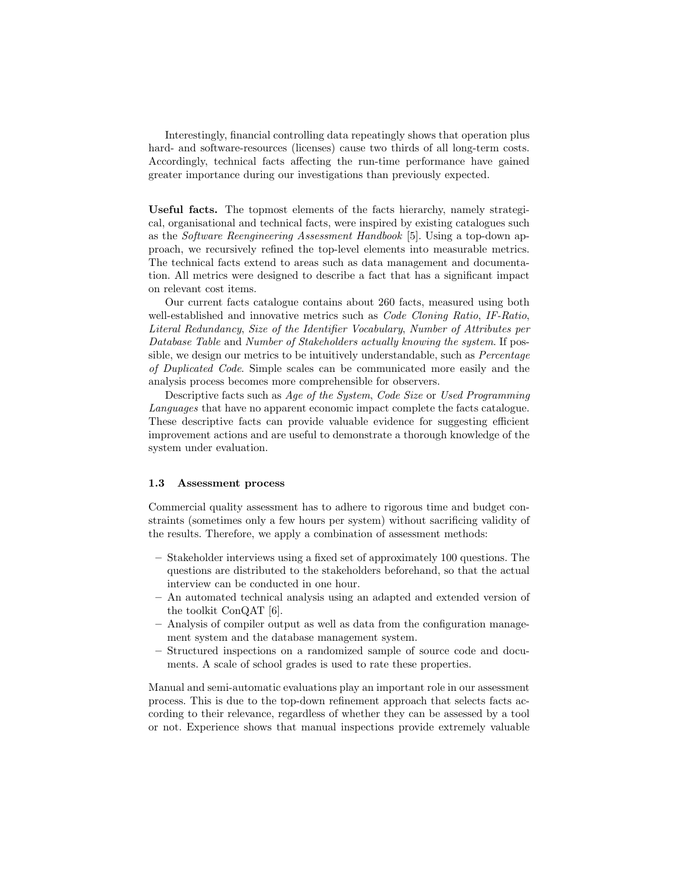Interestingly, financial controlling data repeatingly shows that operation plus hard- and software-resources (licenses) cause two thirds of all long-term costs. Accordingly, technical facts affecting the run-time performance have gained greater importance during our investigations than previously expected.

Useful facts. The topmost elements of the facts hierarchy, namely strategical, organisational and technical facts, were inspired by existing catalogues such as the Software Reengineering Assessment Handbook [5]. Using a top-down approach, we recursively refined the top-level elements into measurable metrics. The technical facts extend to areas such as data management and documentation. All metrics were designed to describe a fact that has a significant impact on relevant cost items.

Our current facts catalogue contains about 260 facts, measured using both well-established and innovative metrics such as Code Cloning Ratio, IF-Ratio, Literal Redundancy, Size of the Identifier Vocabulary, Number of Attributes per Database Table and Number of Stakeholders actually knowing the system. If possible, we design our metrics to be intuitively understandable, such as *Percentage* of Duplicated Code. Simple scales can be communicated more easily and the analysis process becomes more comprehensible for observers.

Descriptive facts such as Age of the System, Code Size or Used Programming Languages that have no apparent economic impact complete the facts catalogue. These descriptive facts can provide valuable evidence for suggesting efficient improvement actions and are useful to demonstrate a thorough knowledge of the system under evaluation.

#### 1.3 Assessment process

Commercial quality assessment has to adhere to rigorous time and budget constraints (sometimes only a few hours per system) without sacrificing validity of the results. Therefore, we apply a combination of assessment methods:

- Stakeholder interviews using a fixed set of approximately 100 questions. The questions are distributed to the stakeholders beforehand, so that the actual interview can be conducted in one hour.
- An automated technical analysis using an adapted and extended version of the toolkit ConQAT [6].
- Analysis of compiler output as well as data from the configuration management system and the database management system.
- Structured inspections on a randomized sample of source code and documents. A scale of school grades is used to rate these properties.

Manual and semi-automatic evaluations play an important role in our assessment process. This is due to the top-down refinement approach that selects facts according to their relevance, regardless of whether they can be assessed by a tool or not. Experience shows that manual inspections provide extremely valuable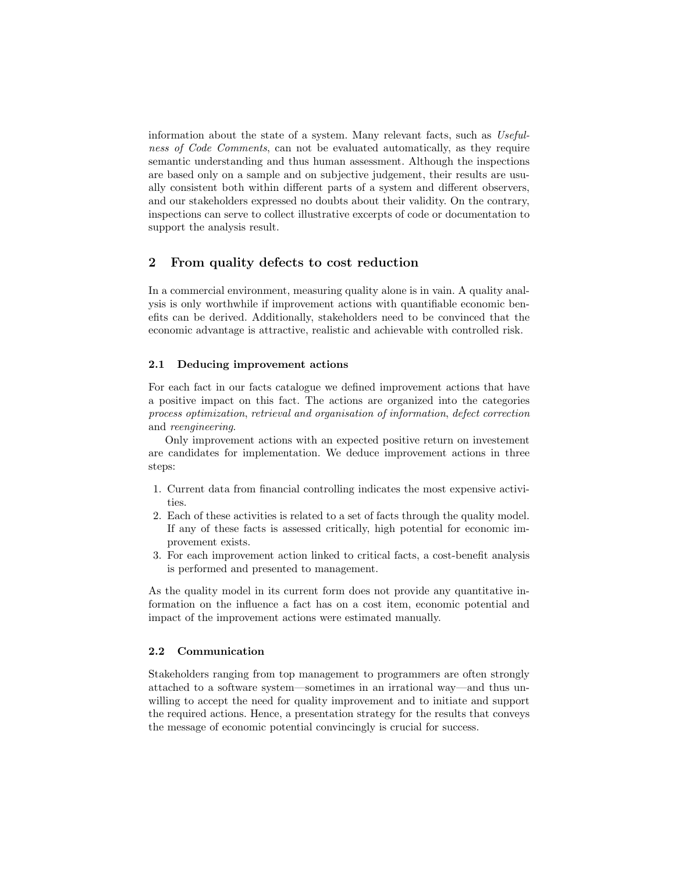information about the state of a system. Many relevant facts, such as Usefulness of Code Comments, can not be evaluated automatically, as they require semantic understanding and thus human assessment. Although the inspections are based only on a sample and on subjective judgement, their results are usually consistent both within different parts of a system and different observers, and our stakeholders expressed no doubts about their validity. On the contrary, inspections can serve to collect illustrative excerpts of code or documentation to support the analysis result.

## 2 From quality defects to cost reduction

In a commercial environment, measuring quality alone is in vain. A quality analysis is only worthwhile if improvement actions with quantifiable economic benefits can be derived. Additionally, stakeholders need to be convinced that the economic advantage is attractive, realistic and achievable with controlled risk.

#### 2.1 Deducing improvement actions

For each fact in our facts catalogue we defined improvement actions that have a positive impact on this fact. The actions are organized into the categories process optimization, retrieval and organisation of information, defect correction and reengineering.

Only improvement actions with an expected positive return on investement are candidates for implementation. We deduce improvement actions in three steps:

- 1. Current data from financial controlling indicates the most expensive activities.
- 2. Each of these activities is related to a set of facts through the quality model. If any of these facts is assessed critically, high potential for economic improvement exists.
- 3. For each improvement action linked to critical facts, a cost-benefit analysis is performed and presented to management.

As the quality model in its current form does not provide any quantitative information on the influence a fact has on a cost item, economic potential and impact of the improvement actions were estimated manually.

#### 2.2 Communication

Stakeholders ranging from top management to programmers are often strongly attached to a software system—sometimes in an irrational way—and thus unwilling to accept the need for quality improvement and to initiate and support the required actions. Hence, a presentation strategy for the results that conveys the message of economic potential convincingly is crucial for success.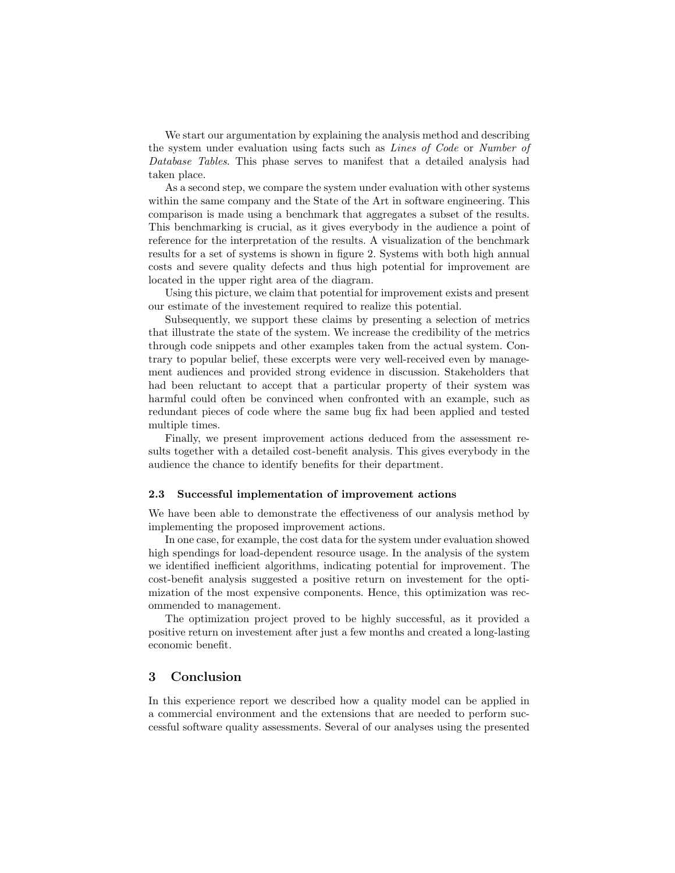We start our argumentation by explaining the analysis method and describing the system under evaluation using facts such as Lines of Code or Number of Database Tables. This phase serves to manifest that a detailed analysis had taken place.

As a second step, we compare the system under evaluation with other systems within the same company and the State of the Art in software engineering. This comparison is made using a benchmark that aggregates a subset of the results. This benchmarking is crucial, as it gives everybody in the audience a point of reference for the interpretation of the results. A visualization of the benchmark results for a set of systems is shown in figure 2. Systems with both high annual costs and severe quality defects and thus high potential for improvement are located in the upper right area of the diagram.

Using this picture, we claim that potential for improvement exists and present our estimate of the investement required to realize this potential.

Subsequently, we support these claims by presenting a selection of metrics that illustrate the state of the system. We increase the credibility of the metrics through code snippets and other examples taken from the actual system. Contrary to popular belief, these excerpts were very well-received even by management audiences and provided strong evidence in discussion. Stakeholders that had been reluctant to accept that a particular property of their system was harmful could often be convinced when confronted with an example, such as redundant pieces of code where the same bug fix had been applied and tested multiple times.

Finally, we present improvement actions deduced from the assessment results together with a detailed cost-benefit analysis. This gives everybody in the audience the chance to identify benefits for their department.

#### 2.3 Successful implementation of improvement actions

We have been able to demonstrate the effectiveness of our analysis method by implementing the proposed improvement actions.

In one case, for example, the cost data for the system under evaluation showed high spendings for load-dependent resource usage. In the analysis of the system we identified inefficient algorithms, indicating potential for improvement. The cost-benefit analysis suggested a positive return on investement for the optimization of the most expensive components. Hence, this optimization was recommended to management.

The optimization project proved to be highly successful, as it provided a positive return on investement after just a few months and created a long-lasting economic benefit.

### 3 Conclusion

In this experience report we described how a quality model can be applied in a commercial environment and the extensions that are needed to perform successful software quality assessments. Several of our analyses using the presented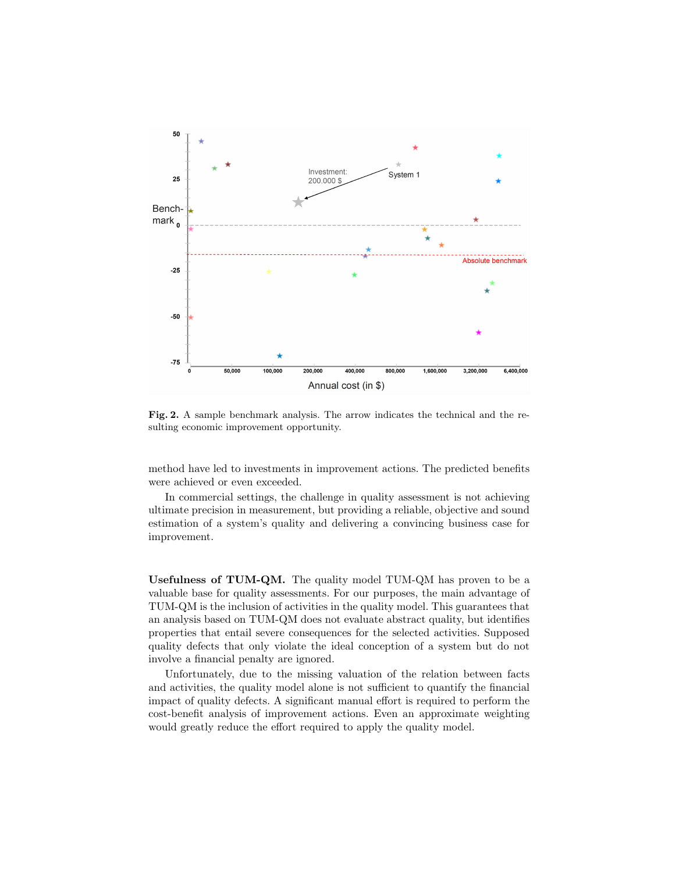

Fig. 2. A sample benchmark analysis. The arrow indicates the technical and the resulting economic improvement opportunity.

method have led to investments in improvement actions. The predicted benefits were achieved or even exceeded.

In commercial settings, the challenge in quality assessment is not achieving ultimate precision in measurement, but providing a reliable, objective and sound estimation of a system's quality and delivering a convincing business case for improvement.

Usefulness of TUM-QM. The quality model TUM-QM has proven to be a valuable base for quality assessments. For our purposes, the main advantage of TUM-QM is the inclusion of activities in the quality model. This guarantees that an analysis based on TUM-QM does not evaluate abstract quality, but identifies properties that entail severe consequences for the selected activities. Supposed quality defects that only violate the ideal conception of a system but do not involve a financial penalty are ignored.

Unfortunately, due to the missing valuation of the relation between facts and activities, the quality model alone is not sufficient to quantify the financial impact of quality defects. A significant manual effort is required to perform the cost-benefit analysis of improvement actions. Even an approximate weighting would greatly reduce the effort required to apply the quality model.